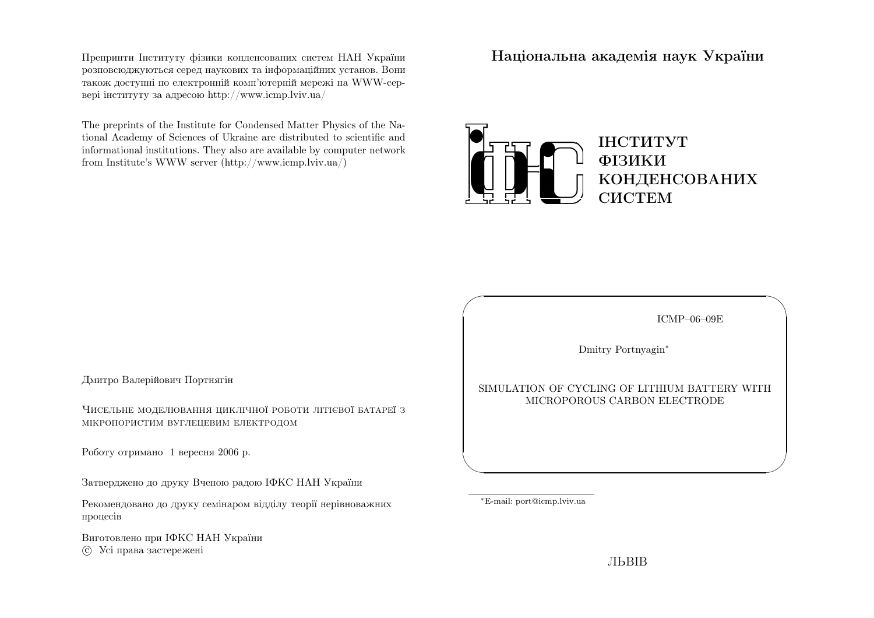Препринти Iнституту фiзики конденсованих систем НАН України розповсюджуються серед наукових та iнформацiйних установ. Вони також доступн<sup>i</sup> по електроннiй комп'ютернiй мереж<sup>i</sup> на WWW-сервер<sup>i</sup> iнституту за адресою http://www.icmp.lviv.ua/

The preprints of the Institute for Condensed Matter Physics of the National Academy of Sciences of Ukraine are distributed to scientific and informational institutions. They also are available by computer networkfrom Institute's WWW server (http://www.icmp.lviv.ua/)

Нацiональна академiя наук України



Дмитро Валерiйович Портнягiн

Чисельне моделювання циклiчної роботи лiтiєвої батареї <sup>з</sup>мiкропористим вуглецевим електродом

Роботу отримано <sup>1</sup> вересня <sup>2006</sup> р.

Затверджено до друку Вченою радою IФКС НАН України

Рекомендовано до друку семiнаром вiддiлу теорiї нерiвноважнихпроцесiв

Виготовлено при IФКС НАН Україниc Усi права застережен<sup>i</sup>

ICMP–06–09E

✩

 $\mathcal{S}$ 

Dmitry Portnyagin∗

#### SIMULATION OF CYCLING OF LITHIUM BATTERY WITHMICROPOROUS CARBON ELECTRODE

<sup>∗</sup>E-mail: port@icmp.lviv.ua

 $\sqrt{2}$ 

 $\setminus$ 

ЛЬВIВ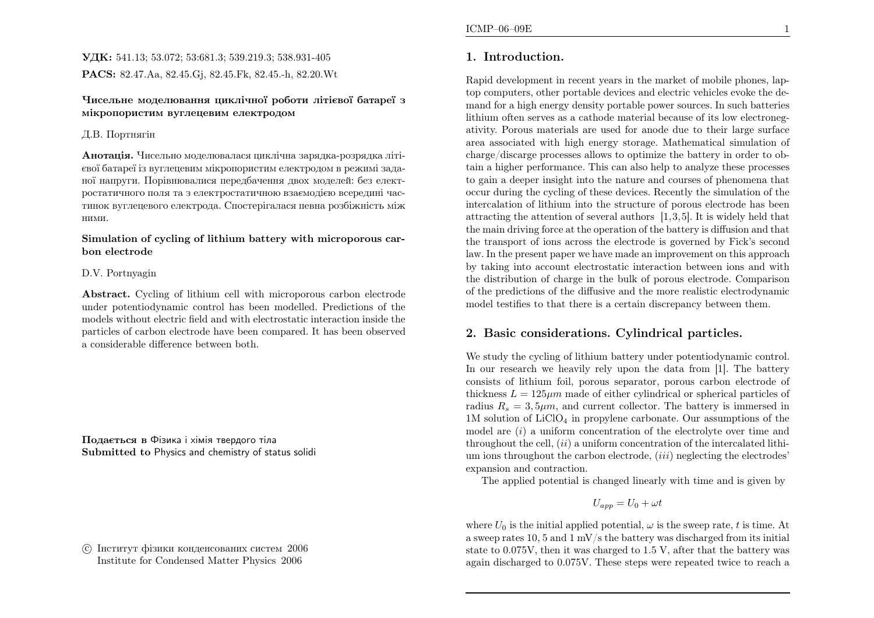## УДК: 541.13; 53.072; 53:681.3; 539.219.3; 538.931-405PACS: 82.47.Aa, 82.45.Gj, 82.45.Fk, 82.45.-h, 82.20.Wt

#### Чисельне моделювання циклiчної роботи лiтiєвої батареї <sup>з</sup>мiкропористим вуглецевим електродом

### Д.В. Портнягiн

**Анотація.** Чисельно моделювалася циклічна зарядка-розрядка літієвої батареї iз вуглецевим мiкропористим електродом <sup>в</sup> режим<sup>i</sup> заданої напруги. Порiвнювалися передбачення двох моделей: без електростатичного поля та <sup>з</sup> електростатичною взаємодiєю всередин<sup>i</sup> частинок вуглецевого електрода. Спостерiгалася певна розбiжнiсть мiжними.

#### Simulation of cycling of lithium battery with microporous carbon electrode

### D.V. Portnyagin

Abstract. Cycling of lithium cell with microporous carbon electrode under potentiodynamic control has been modelled. Predictions of the models without electric field and with electrostatic interaction inside the particles of carbon electrode have been compared. It has been observed<sup>a</sup> considerable difference between both.

Подається <sup>в</sup> Фiзика <sup>i</sup> хiмiя твердого тiла Submitted to Physics and chemistry of status solidi

 c Iнститут фiзики конденсованих систем <sup>2006</sup>Institute for Condensed Matter Physics <sup>2006</sup>

# 1. Introduction.

Rapid development in recent years in the market of mobile <sup>p</sup>hones, laptop computers, other portable devices and electric vehicles evoke the demand for <sup>a</sup> high energy density portable power sources. In such batteries lithium often serves as <sup>a</sup> cathode material because of its low electronegativity. Porous materials are used for anode due to their large surface area associated with high energy storage. Mathematical simulation of charge/discarge processes allows to optimize the battery in order to obtain <sup>a</sup> higher performance. This can also help to analyze these processes to gain <sup>a</sup> deeper insight into the nature and courses of <sup>p</sup>henomena that occur during the cycling of these devices. Recently the simulation of the intercalation of lithium into the structure of porous electrode has been attracting the attention of several authors [1,3,5]. It is widely held that the main driving force at the operation of the battery is diffusion and that the transport of ions across the electrode is governed by Fick's second law. In the present paper we have made an improvement on this approac<sup>h</sup> by taking into account electrostatic interaction between ions and with the distribution of charge in the bulk of porous electrode. Comparison of the predictions of the diffusive and the more realistic electrodynamicmodel testifies to that there is <sup>a</sup> certain discrepancy between them.

# 2. Basic considerations. Cylindrical particles.

We study the cycling of lithium battery under potentiodynamic control. In our research we heavily rely upon the data from [1]. The battery consists of lithium foil, porous separator, porous carbon electrode of thickness  $L = 125 \mu m$  made of either cylindrical or spherical particles of radius  $R_s = 3, 5\mu m$ , and current collector. The battery is immersed in 1M solution of LiClO<sup>4</sup> in propylene carbonate. Our assumptions of the model are  $(i)$  a uniform concentration of the electrolyte over time and throughout the cell,  $(ii)$  a uniform concentration of the intercalated lithium ions throughout the carbon electrode,  $(iii)$  neglecting the electrodes' expansion and contraction.

The applied potential is changed linearly with time and is <sup>g</sup>iven by

$$
U_{app}=U_0+\omega t
$$

where  $U_0$  is the initial applied potential,  $\omega$  is the sweep rate, t is time. At <sup>a</sup> sweep rates 10, <sup>5</sup> and <sup>1</sup> mV/s the battery was discharged from its initial state to 0.075V, then it was charged to 1.5 V, after that the battery wasagain discharged to 0.075V. These steps were repeated twice to reach <sup>a</sup>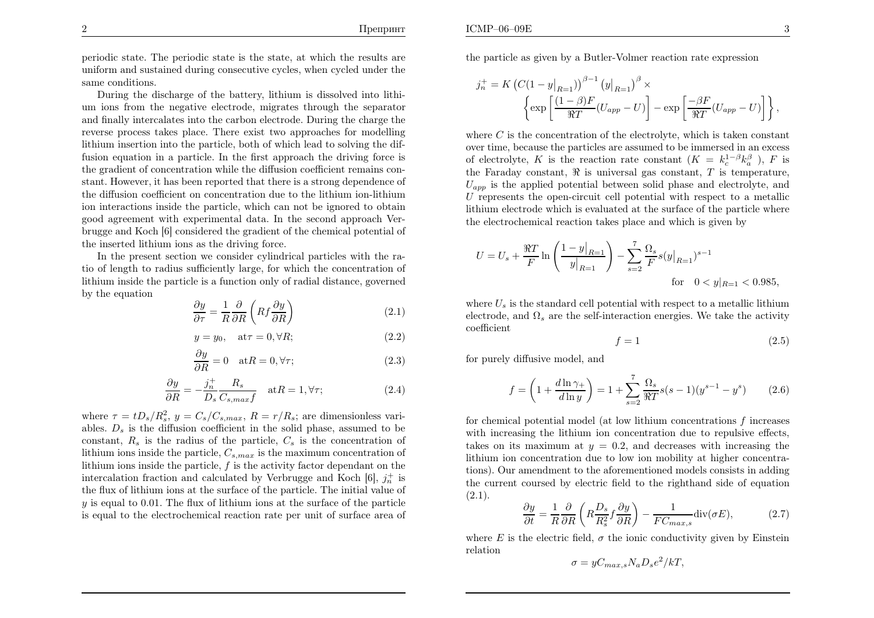periodic state. The periodic state is the state, at which the results are uniform and sustained during consecutive cycles, when cycled under thesame conditions.

During the discharge of the battery, lithium is dissolved into lithium ions from the negative electrode, migrates through the separator and finally intercalates into the carbon electrode. During the charge the reverse process takes <sup>p</sup>lace. There exist two approaches for modelling lithium insertion into the particle, both of which lead to solving the diffusion equation in <sup>a</sup> particle. In the first approac<sup>h</sup> the driving force is the gradient of concentration while the diffusion coefficient remains constant. However, it has been reported that there is <sup>a</sup> strong dependence of the diffusion coefficient on concentration due to the lithium ion-lithium ion interactions inside the particle, which can not be ignored to obtain good agreement with experimental data. In the second approac<sup>h</sup> Verbrugge and Koch [6] considered the gradient of the chemical potential of the inserted lithium ions as the driving force.

In the present section we consider cylindrical particles with the ratio of length to radius sufficiently large, for which the concentration of lithium inside the particle is <sup>a</sup> function only of radial distance, governedby the equation

$$
\frac{\partial y}{\partial \tau} = \frac{1}{R} \frac{\partial}{\partial R} \left( R f \frac{\partial y}{\partial R} \right) \tag{2.1}
$$

$$
y = y_0, \quad \text{at}\tau = 0, \forall R; \tag{2.2}
$$

$$
\frac{\partial y}{\partial R} = 0 \quad \text{at} R = 0, \forall \tau; \tag{2.3}
$$

$$
\frac{\partial y}{\partial R} = -\frac{j_n^+}{D_s} \frac{R_s}{C_{s,max}f} \quad \text{at } R = 1, \forall \tau; \tag{2.4}
$$

where  $\tau = tD_s/R_s^2$ ,  $y = C_s/C_{s,max}$ ,  $R = r/R_s$ ; are dimensionless variables.  $D_s$  is the diffusion coefficient in the solid phase, assumed to be constant,  $R_s$  is the radius of the particle,  $C_s$  is the concentration of lithium ions inside the particle,  $C_{s,max}$  is the maximum concentration of lithium ions inside the particle,  $f$  is the activity factor dependant on the intercalation fraction and calculated by Verbrugge and Koch  $[6]$ ,  $j_n^+$  is the flux of lithium ions at the surface of the particle. The initial value of  $y$  is equal to 0.01. The flux of lithium ions at the surface of the particle is equa<sup>l</sup> to the electrochemical reaction rate per unit of surface area of the particle as <sup>g</sup>iven by <sup>a</sup> Butler-Volmer reaction rate expression

$$
j_n^+ = K \left( C(1 - y|_{R=1}) \right)^{\beta - 1} (y|_{R=1})^{\beta} \times \left\{ \exp \left[ \frac{(1 - \beta)F}{\Re T} (U_{app} - U) \right] - \exp \left[ \frac{-\beta F}{\Re T} (U_{app} - U) \right] \right\},\,
$$

where  $C$  is the concentration of the electrolyte, which is taken constant over time, because the particles are assumed to be immersed in an excessof electrolyte, K is the reaction rate constant  $(K = k_c^{1-\beta} k_a^{\beta})$ , F is<br>the Fanaday constant  $\Re$  is universal we constant  $T$  is temperature. the Faraday constant,  $\Re$  is universal gas constant,  $T$  is temperature,  $U_{app}$  is the applied potential between solid phase and electrolyte, and U represents the open-circuit cell potential with respect to <sup>a</sup> metallic lithium electrode which is evaluated at the surface of the particle wherethe electrochemical reaction takes <sup>p</sup>lace and which is <sup>g</sup>iven by

$$
U = U_s + \frac{\Re T}{F} \ln \left( \frac{1 - y|_{R=1}}{y|_{R=1}} \right) - \sum_{s=2}^{7} \frac{\Omega_s}{F} s(y|_{R=1})^{s-1}
$$
  
for  $0 < y|_{R=1} < 0.985$ ,

where  $U_s$  is the standard cell potential with respect to a metallic lithium electrode, and  $\Omega_s$  are the self-interaction energies. We take the activity coefficient

$$
f = 1\tag{2.5}
$$

for purely diffusive model, and

$$
f = \left(1 + \frac{d\ln\gamma_+}{d\ln y}\right) = 1 + \sum_{s=2}^{7} \frac{\Omega_s}{\Re T} s(s-1)(y^{s-1} - y^s) \tag{2.6}
$$

for chemical potential model (at low lithium concentrations  $f$  increases with increasing the lithium ion concentration due to repulsive effects, takes on its maximum at  $y = 0.2$ , and decreases with increasing the lithium ion concentration due to low ion mobility at higher concentrations). Our amendment to the aforementioned models consists in adding the current coursed by electric field to the righthand side of equation $(2.1).$ 

$$
\frac{\partial y}{\partial t} = \frac{1}{R} \frac{\partial}{\partial R} \left( R \frac{D_s}{R_s^2} f \frac{\partial y}{\partial R} \right) - \frac{1}{FC_{max,s}} \text{div}(\sigma E),\tag{2.7}
$$

where  $E$  is the electric field,  $\sigma$  the ionic conductivity given by Einstein relation

$$
\sigma = yC_{max,s}N_aD_s e^2/kT,
$$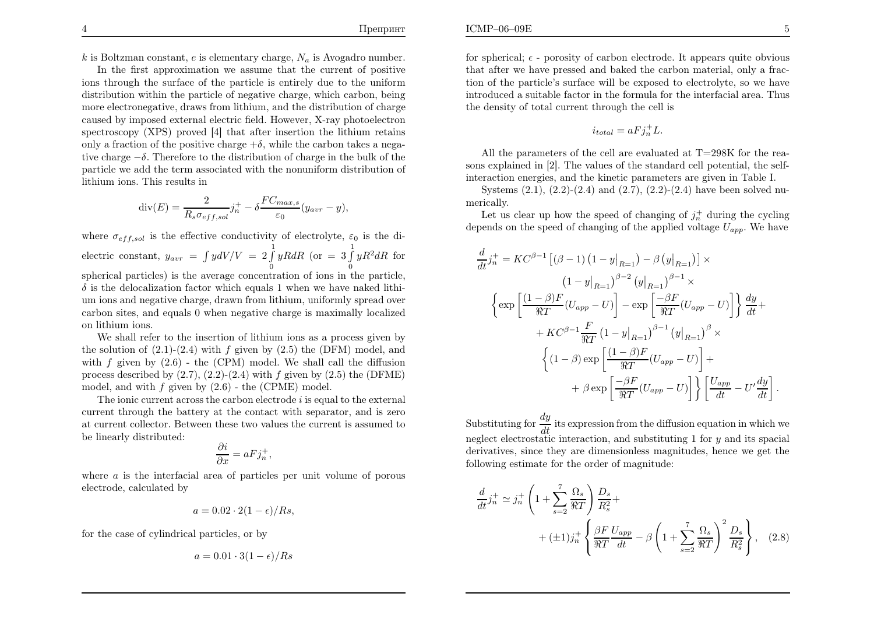k is Boltzman constant, e is elementary charge,  $N_a$  is Avogadro number.

In the first approximation we assume that the current of positive ions through the surface of the particle is entirely due to the uniform distribution within the particle of negative charge, which carbon, being more electronegative, draws from lithium, and the distribution of charge caused by imposed external electric field. However, X-ray <sup>p</sup>hotoelectron spectroscopy (XPS) proved [4] that after insertion the lithium retainsonly a fraction of the positive charge  $+\delta$ , while the carbon takes a nega tive charge<sup>−</sup>δ. Therefore to the distribution of charge in the bulk of the particle we add the term associated with the nonuniform distribution of lithium ions. This results in

$$
\operatorname{div}(E) = \frac{2}{R_s \sigma_{eff,sol}} j_n^+ - \delta \frac{FC_{max,s}}{\varepsilon_0} (y_{avr} - y),
$$

where  $\sigma_{eff,sol}$  is the effective conductivity of electrolyte,  $\varepsilon_0$  is the dielectric constant,  $y_{avr}$  =  $\int \int \int dV / V = 2 \int_{0}^{1} yR dR$  (or  $= 3 \int_{0}^{1} yR^{2} dR$  for spherical particles) is the average concentration of ions in the particle,  $\delta$  is the delocalization factor which equals 1 when we have naked lithium ions and negative charge, drawn from lithium, uniformly spread over carbon sites, and equals <sup>0</sup> when negative charge is maximally localizedon lithium ions.

We shall refer to the insertion of lithium ions as <sup>a</sup> process <sup>g</sup>iven bythe solution of  $(2.1)-(2.4)$  with f given by  $(2.5)$  the (DFM) model, and with  $f$  given by  $(2.6)$  - the (CPM) model. We shall call the diffusion process described by  $(2.7), (2.2)$ - $(2.4)$  with  $f$  given by  $(2.5)$  the (DFME) model, and with  $f$  given by  $(2.6)$  - the (CPME) model.

The ionic current across the carbon electrode  $i$  is equal to the external current through the battery at the contact with separator, and is zero at current collector. Between these two values the current is assumed tobe linearly distributed:

$$
\frac{\partial i}{\partial x} = aFj_n^+,
$$

where  $a$  is the interfacial area of particles per unit volume of porous electrode, calculated by

$$
a = 0.02 \cdot 2(1 - \epsilon)/Rs,
$$

for the case of cylindrical particles, or by

$$
a = 0.01 \cdot 3(1 - \epsilon)/Rs
$$

for spherical;  $\epsilon$  - porosity of carbon electrode. It appears quite obvious that after we have pressed and baked the carbon material, only <sup>a</sup> fraction of the particle's surface will be exposed to electrolyte, so we have introduced <sup>a</sup> suitable factor in the formula for the interfacial area. Thusthe density of total current through the cell is

$$
i_{total} = aFj_n^+L.
$$

All the parameters of the cell are evaluated at  $T=298K$  for the reasons explained in [2]. The values of the standard cell potential, the selfinteraction energies, and the kinetic parameters are <sup>g</sup>iven in Table I.

Systems  $(2.1)$ ,  $(2.2)$ - $(2.4)$  and  $(2.7)$ ,  $(2.2)$ - $(2.4)$  have been solved numerically.

Let us clear up how the speed of changing of  $j_n^+$  during the cycling depends on the speed of changing of the applied voltage  $U_{app}$ . We have

$$
\frac{d}{dt}j_n^+ = KC^{\beta - 1} \left[ (\beta - 1) (1 - y|_{R=1}) - \beta (y|_{R=1}) \right] \times
$$
\n
$$
(1 - y|_{R=1})^{\beta - 2} (y|_{R=1})^{\beta - 1} \times
$$
\n
$$
\left\{ \exp \left[ \frac{(1 - \beta)F}{\Re T} (U_{app} - U) \right] - \exp \left[ \frac{-\beta F}{\Re T} (U_{app} - U) \right] \right\} \frac{dy}{dt} +
$$
\n
$$
+ KC^{\beta - 1} \frac{F}{\Re T} (1 - y|_{R=1})^{\beta - 1} (y|_{R=1})^{\beta} \times
$$
\n
$$
\left\{ (1 - \beta) \exp \left[ \frac{(1 - \beta)F}{\Re T} (U_{app} - U) \right] +
$$
\n
$$
+ \beta \exp \left[ \frac{-\beta F}{\Re T} (U_{app} - U) \right] \right\} \left[ \frac{U_{app}}{dt} - U' \frac{dy}{dt} \right]
$$

Substituting for  $\frac{dy}{dt}$  its expression from the diffusion equation in which we neglect electrostatic interaction, and substituting  $1$  for  $y$  and its spacial derivatives, since they are dimensionless magnitudes, hence we get thefollowing estimate for the order of magnitude:

$$
\frac{d}{dt}j_n^+ \simeq j_n^+ \left(1 + \sum_{s=2}^7 \frac{\Omega_s}{\Re T}\right) \frac{D_s}{R_s^2} + \left(\pm 1\right)j_n^+ \left\{\frac{\beta F}{\Re T} \frac{U_{app}}{dt} - \beta \left(1 + \sum_{s=2}^7 \frac{\Omega_s}{\Re T}\right)^2 \frac{D_s}{R_s^2}\right\}, \quad (2.8)
$$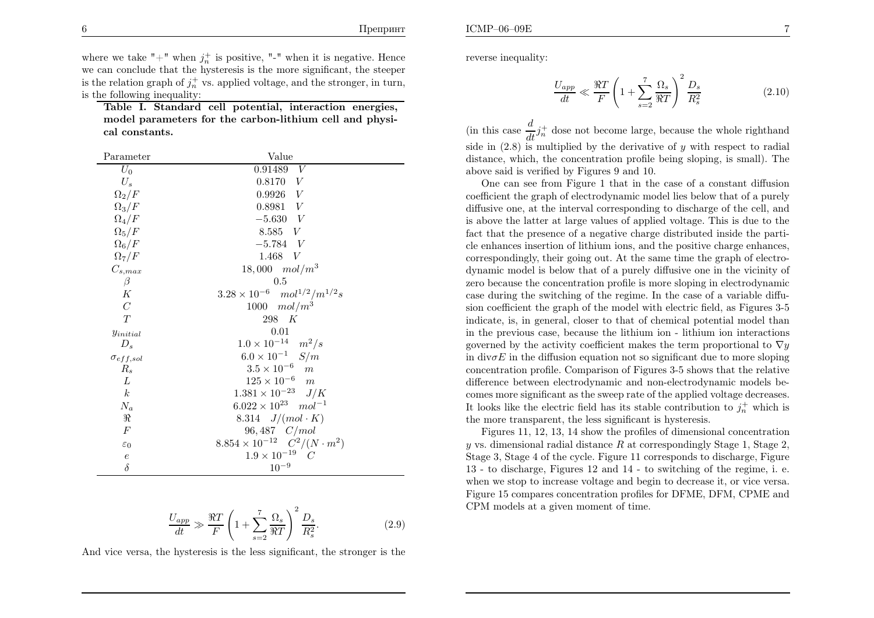ICMP–06–09E

where we take "+" when  $j_n^+$  is positive, "-" when it is negative. Hence we can conclude that the hysteresis is the more significant, the steeperis the relation graph of  $j_n^+$  vs. applied voltage, and the stronger, in turn, is the following inequality:

Table I. Standard cell potential, interaction energies, model parameters for the carbon-lithium cell and <sup>p</sup>hysical constants.

| Parameter          | Value                                           |
|--------------------|-------------------------------------------------|
| $U_0$              | 0.91489<br>V                                    |
| $U_s$              | 0.8170 V                                        |
| $\Omega_2/F$       | $0.9926\quad V$                                 |
| $\Omega_3/F$       | 0.8981 V                                        |
| $\Omega_4/F$       | $-5.630 V$                                      |
| $\Omega_5/F$       | 8.585 V                                         |
| $\Omega_6/F$       | $-5.784$ V                                      |
| $\Omega_7/F$       | 1.468 $V$                                       |
| $C_{s,max}$        | $18,000 \mod m^3$                               |
| $\beta$            | $0.5\,$                                         |
| К                  | $3.28 \times 10^{-6}$ $mol^{1/2}/m^{1/2}s$      |
| $\mathcal{C}$      | 1000 $mol/m^3$                                  |
| T                  | 298 K                                           |
| $y_{initial}$      | 0.01                                            |
| $D_s$              | $1.0 \times 10^{-14}$ $m^2/s$                   |
| $\sigma_{eff,sol}$ | $6.0 \times 10^{-1}$ $S/m$                      |
| $R_s$              | $3.5 \times 10^{-6}$ m                          |
| L                  | $125 \times 10^{-6}$ m                          |
| $\boldsymbol{k}$   | $1.381 \times 10^{-23}$ J/K                     |
| $N_a$              | $6.022 \times 10^{23}$ $mol^{-1}$               |
| R                  | 8.314 $J/(mol \cdot K)$                         |
| F                  | $96,487 \quad C/mol$                            |
| $\varepsilon_0$    | $8.854 \times 10^{-12} \quad C^2/(N \cdot m^2)$ |
| $\boldsymbol{e}$   | $1.9 \times 10^{-19}$ C                         |
| $\delta$           | $10^{-9}$                                       |

$$
\frac{U_{app}}{dt} \gg \frac{\Re T}{F} \left( 1 + \sum_{s=2}^{7} \frac{\Omega_s}{\Re T} \right)^2 \frac{D_s}{R_s^2}.
$$
\n(2.9)

And vice versa, the hysteresis is the less significant, the stronger is the

reverse inequality:

$$
\frac{U_{app}}{dt} \ll \frac{\Re T}{F} \left( 1 + \sum_{s=2}^{7} \frac{\Omega_s}{\Re T} \right)^2 \frac{D_s}{R_s^2}
$$
\n(2.10)

(in this case  $\frac{d}{dt}j_n^+$  dose not become large, because the whole righthand side in  $(2.8)$  is multiplied by the derivative of y with respect to radial distance, which, the concentration profile being sloping, is small). Theabove said is verified by Figures <sup>9</sup> and 10.

One can see from Figure <sup>1</sup> that in the case of <sup>a</sup> constant diffusion coefficient the grap<sup>h</sup> of electrodynamic model lies below that of <sup>a</sup> purely diffusive one, at the interval corresponding to discharge of the cell, and is above the latter at large values of applied voltage. This is due to the fact that the presence of <sup>a</sup> negative charge distributed inside the particle enhances insertion of lithium ions, and the positive charge enhances, correspondingly, their going out. At the same time the grap<sup>h</sup> of electrodynamic model is below that of <sup>a</sup> purely diffusive one in the vicinity of zero because the concentration profile is more sloping in electrodynamic case during the switching of the regime. In the case of <sup>a</sup> variable diffusion coefficient the grap<sup>h</sup> of the model with electric field, as Figures 3-5 indicate, is, in general, closer to that of chemical potential model than in the previous case, because the lithium ion - lithium ion interactionsgoverned by the activity coefficient makes the term proportional to  $\nabla y$ in div $\sigma E$  in the diffusion equation not so significant due to more sloping concentration profile. Comparison of Figures 3-5 shows that the relative difference between electrodynamic and non-electrodynamic models becomes more significant as the sweep rate of the applied voltage decreases. It looks like the electric field has its stable contribution to  $j_n^+$  which is the more transparent, the less significant is hysteresis.

Figures 11, 12, 13, <sup>14</sup> show the profiles of dimensional concentrationy vs. dimensional radial distance  $R$  at correspondingly Stage 1, Stage 2, Stage 3, Stage <sup>4</sup> of the cycle. Figure <sup>11</sup> corresponds to discharge, Figure <sup>13</sup> - to discharge, Figures <sup>12</sup> and <sup>14</sup> - to switching of the regime, i. e. when we stop to increase voltage and begin to decrease it, or vice versa. Figure <sup>15</sup> compares concentration profiles for DFME, DFM, CPME andCPM models at <sup>a</sup> <sup>g</sup>iven moment of time.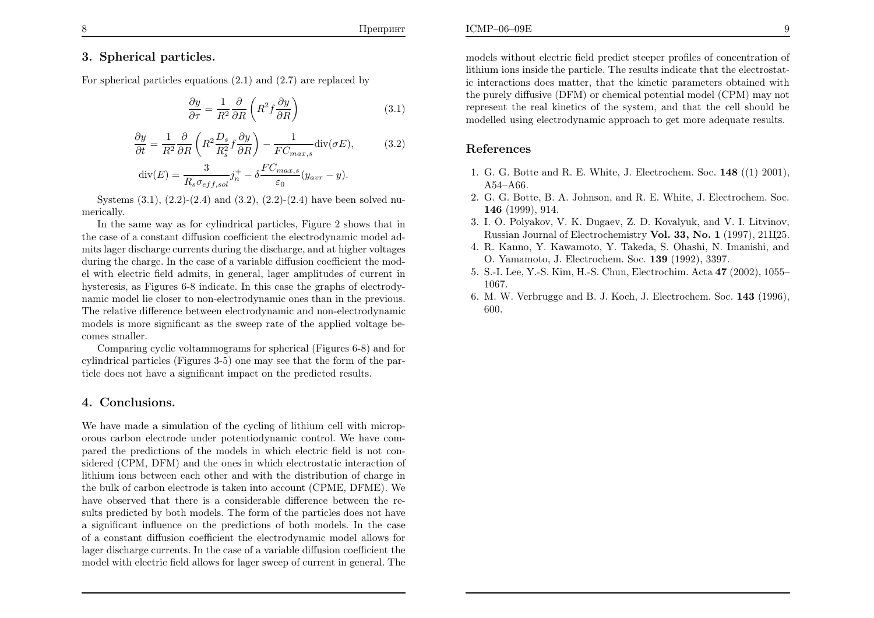#### Препринт

## 3. Spherical particles.

For spherical particles equations (2.1) and (2.7) are replaced by

$$
\frac{\partial y}{\partial \tau} = \frac{1}{R^2} \frac{\partial}{\partial R} \left( R^2 f \frac{\partial y}{\partial R} \right) \tag{3.1}
$$

$$
\frac{\partial y}{\partial t} = \frac{1}{R^2} \frac{\partial}{\partial R} \left( R^2 \frac{D_s}{R_s^2} f \frac{\partial y}{\partial R} \right) - \frac{1}{FC_{max,s}} \text{div}(\sigma E),\tag{3.2}
$$

$$
\operatorname{div}(E) = \frac{3}{R_s \sigma_{eff,sol}} j_n^+ - \delta \frac{FC_{max,s}}{\varepsilon_0} (y_{avr} - y).
$$

Systems  $(3.1)$ ,  $(2.2)$ - $(2.4)$  and  $(3.2)$ ,  $(2.2)$ - $(2.4)$  have been solved numerically.

In the same way as for cylindrical particles, Figure <sup>2</sup> shows that in the case of <sup>a</sup> constant diffusion coefficient the electrodynamic model admits lager discharge currents during the discharge, and at higher voltages during the charge. In the case of <sup>a</sup> variable diffusion coefficient the model with electric field admits, in general, lager amplitudes of current in hysteresis, as Figures 6-8 indicate. In this case the graphs of electrodynamic model lie closer to non-electrodynamic ones than in the previous. The relative difference between electrodynamic and non-electrodynamic models is more significant as the sweep rate of the applied voltage becomes smaller.

Comparing cyclic voltammograms for spherical (Figures 6-8) and for cylindrical particles (Figures 3-5) one may see that the form of the particle does not have <sup>a</sup> significant impact on the predicted results.

### 4. Conclusions.

We have made <sup>a</sup> simulation of the cycling of lithium cell with microporous carbon electrode under potentiodynamic control. We have compared the predictions of the models in which electric field is not considered (CPM, DFM) and the ones in which electrostatic interaction of lithium ions between each other and with the distribution of charge in the bulk of carbon electrode is taken into account (CPME, DFME). We have observed that there is <sup>a</sup> considerable difference between the results predicted by both models. The form of the particles does not have <sup>a</sup> significant influence on the predictions of both models. In the case of <sup>a</sup> constant diffusion coefficient the electrodynamic model allows for lager discharge currents. In the case of <sup>a</sup> variable diffusion coefficient the model with electric field allows for lager sweep of current in general. The

models without electric field predict steeper profiles of concentration of lithium ions inside the particle. The results indicate that the electrostatic interactions does matter, that the kinetic parameters obtained withthe purely diffusive (DFM) or chemical potential model (CPM) may not

represent the real kinetics of the system, and that the cell should bemodelled using electrodynamic approac<sup>h</sup> to get more adequate results.

### References

ICMP–06–09E

- 1. G. G. Botte and R. E. White, J. Electrochem. Soc. <sup>148</sup> ((1) 2001), A54–A66.
- 2. G. G. Botte, B. A. Johnson, and R. E. White, J. Electrochem. Soc. 146 (1999), 914.
- 3. I. O. Polyakov, V. K. Dugaev, Z. D. Kovalyuk, and V. I. Litvinov, Russian Journal of Electrochemistry **Vol. 33, No. 1** (1997), 21Ц25.
- 4. R. Kanno, Y. Kawamoto, Y. Takeda, S. Ohashi, N. Imanishi, andO. Yamamoto, J. Electrochem. Soc. <sup>139</sup> (1992), 3397.
- 5. S.-I. Lee, Y.-S. Kim, H.-S. Chun, Electrochim. Acta <sup>47</sup> (2002), 1055– 1067.
- 6. M. W. Verbrugge and B. J. Koch, J. Electrochem. Soc.  $143$  (1996), 600.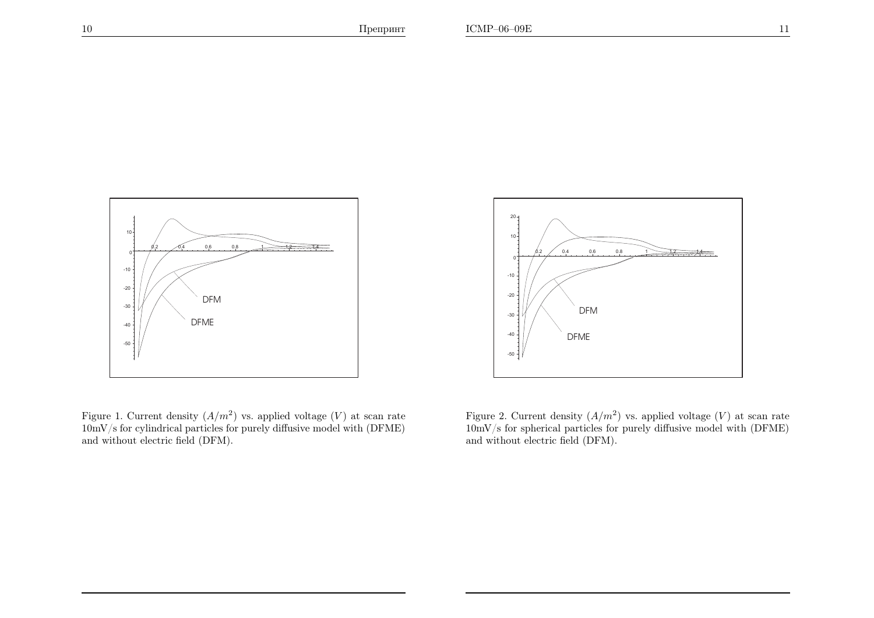10



Figure 1. Current density  $(A/m^2)$  vs. applied voltage  $(V)$  at scan rate  $10 \text{mV/s}$  for cylindrical particles for purely diffusive model with  $(\text{DFME})$ and without electric field (DFM).



Figure 2. Current density  $(A/m^2)$  vs. applied voltage  $(V)$  at scan rate 10mV/s for spherical particles for purely diffusive model with (DFME)and without electric field (DFM).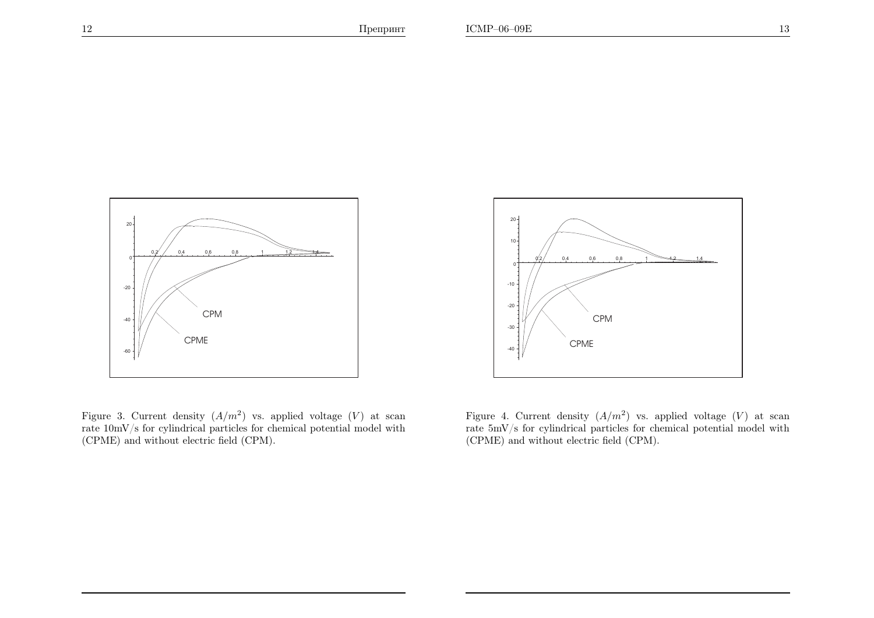

Figure 3. Current density  $(A/m^2)$  vs. applied voltage  $(V)$  at scan rate 10mV/s for cylindrical particles for chemical potential model with(CPME) and without electric field (CPM).



Figure 4. Current density  $(A/m^2)$  vs. applied voltage  $(V)$  at scan rate 5mV/s for cylindrical particles for chemical potential model with(CPME) and without electric field (CPM).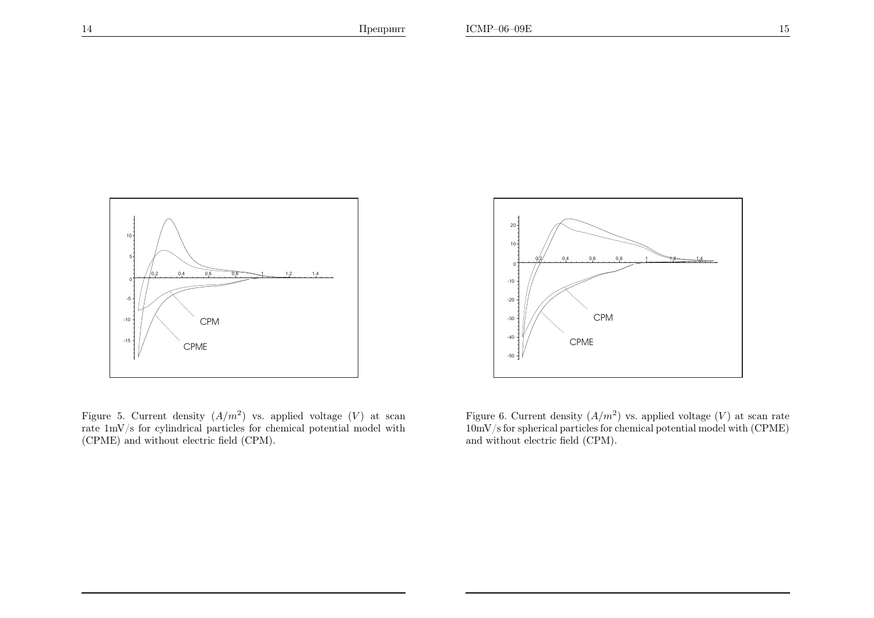

Figure 5. Current density  $(A/m^2)$  vs. applied voltage  $(V)$  at scan rate 1mV/s for cylindrical particles for chemical potential model with(CPME) and without electric field (CPM).



Figure 6. Current density  $(A/m^2)$  vs. applied voltage  $(V)$  at scan rate 10mV/s for spherical particles for chemical potential model with (CPME)and without electric field (CPM).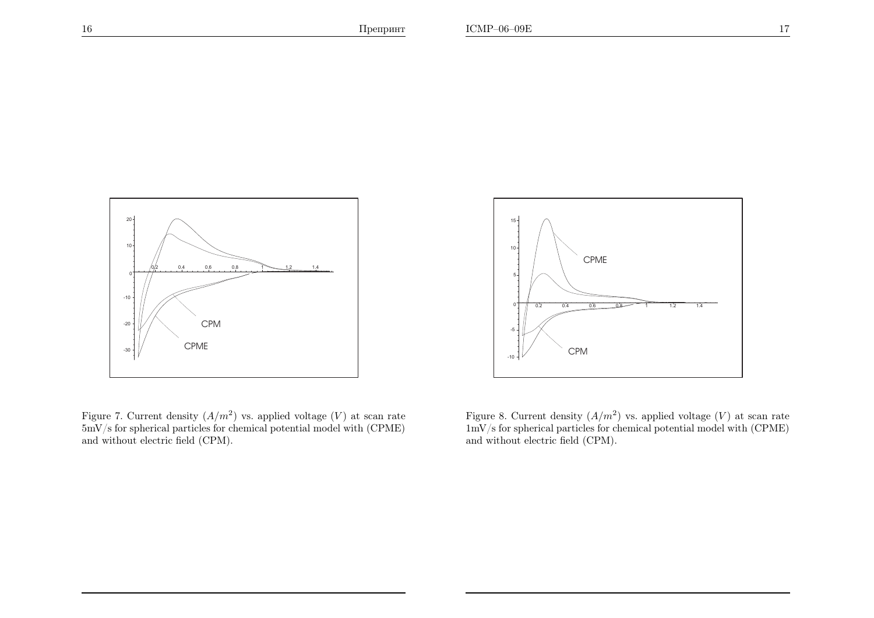

Figure 7. Current density  $(A/m^2)$  vs. applied voltage  $(V)$  at scan rate 5mV/s for spherical particles for chemical potential model with (CPME)and without electric field (CPM).



Figure 8. Current density  $(A/m^2)$  vs. applied voltage  $(V)$  at scan rate 1mV/s for spherical particles for chemical potential model with (CPME)and without electric field (CPM).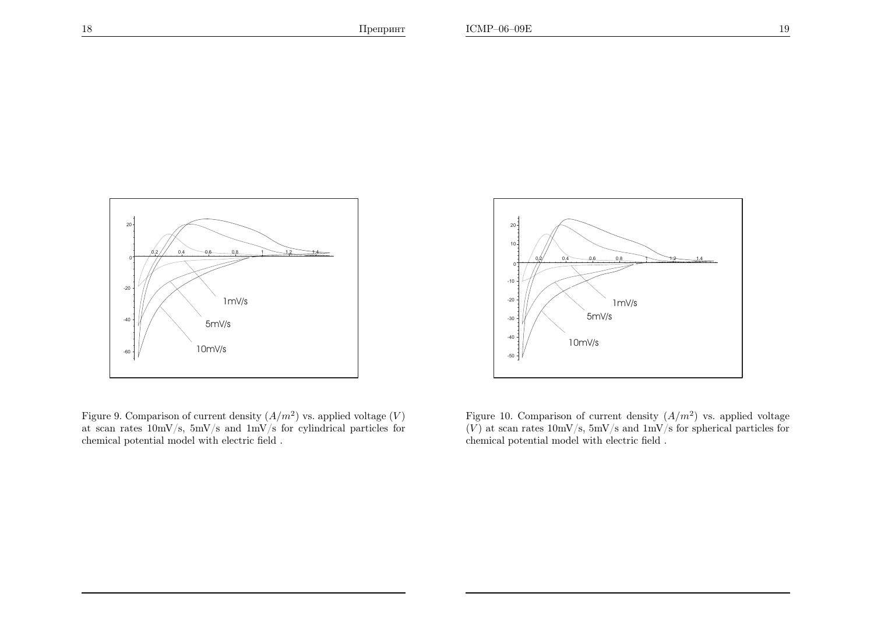

Figure 9. Comparison of current density  $(A/m^2)$  vs. applied voltage  $(V)$ at scan rates 10mV/s, 5mV/s and 1mV/s for cylindrical particles forchemical potential model with electric field .



Figure 10. Comparison of current density  $(A/m^2)$  vs. applied voltage  $(V)$  at scan rates  $10 \text{mV/s}$ ,  $5 \text{mV/s}$  and  $1 \text{mV/s}$  for spherical particles for chemical potential model with electric field .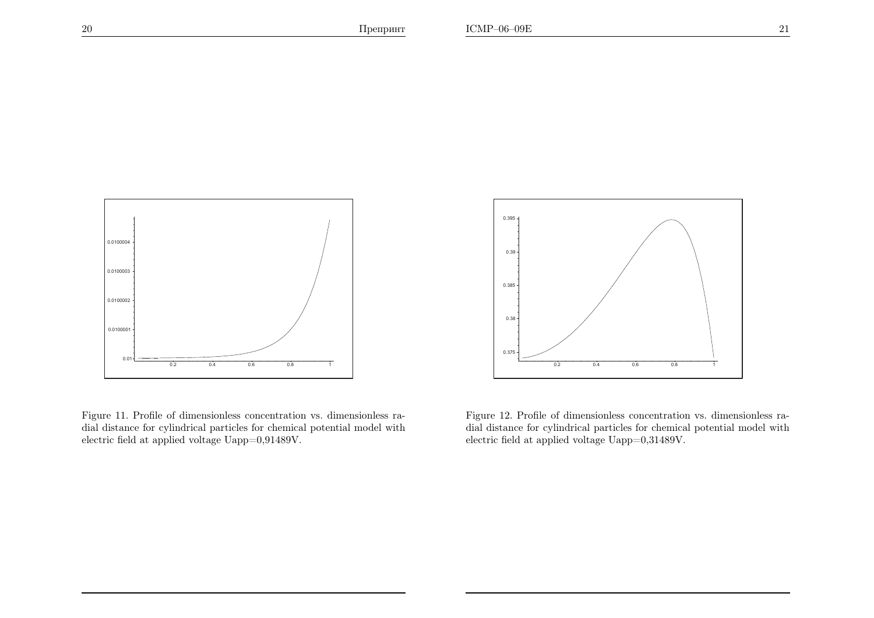

Figure 11. Profile of dimensionless concentration vs. dimensionless radial distance for cylindrical particles for chemical potential model withelectric field at applied voltage Uapp=0,91489V.



Figure 12. Profile of dimensionless concentration vs. dimensionless radial distance for cylindrical particles for chemical potential model withelectric field at applied voltage Uapp=0,31489V.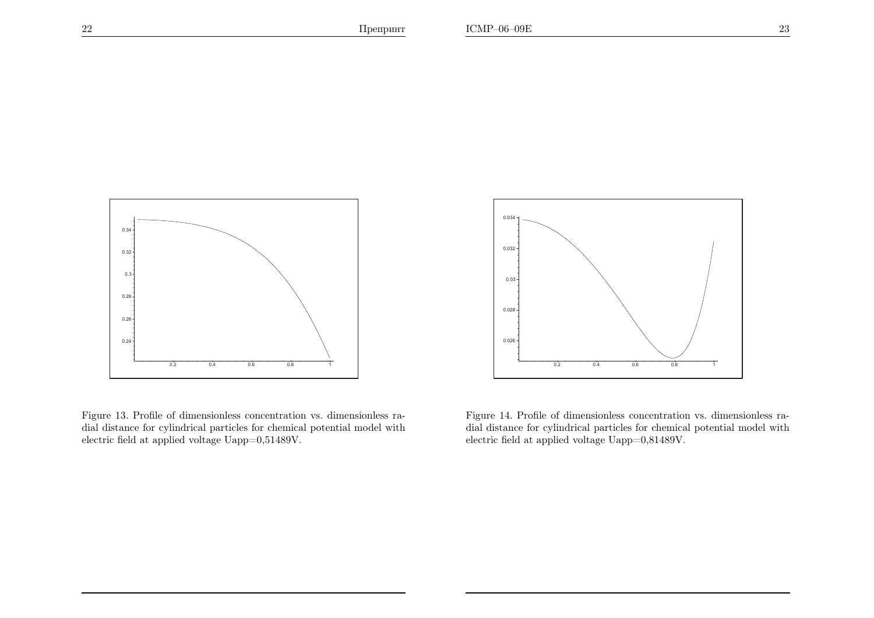

Figure 13. Profile of dimensionless concentration vs. dimensionless radial distance for cylindrical particles for chemical potential model withelectric field at applied voltage Uapp=0,51489V.



Figure 14. Profile of dimensionless concentration vs. dimensionless radial distance for cylindrical particles for chemical potential model withelectric field at applied voltage Uapp=0,81489V.